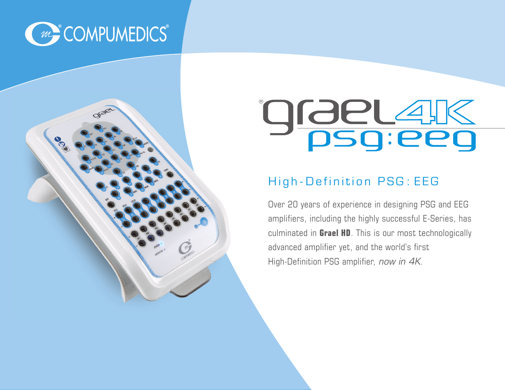

# $^{\circledR}$ :

### High - Definition PSG : EEG

Over 20 years of experience in designing PSG and EEG amplifiers, including the highly successful E-Series, has culminated in **Grael HD**. This is our most technologically advanced amplifier yet, and the world's first High-Definition PSG amplifier, now in 4K.